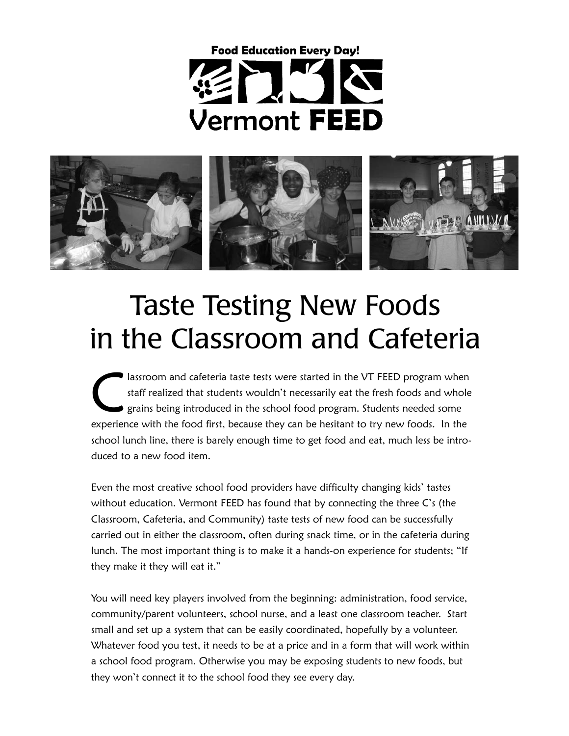# **Food Education Every Day! Vermont FEED**



#### Taste Testing New Foods in the Classroom and Cafeteria

lassroom and cafeteria taste tests were started in the VT FEED program when<br>staff realized that students wouldn't necessarily eat the fresh foods and whole<br>grains being introduced in the school food program. Students neede staff realized that students wouldn't necessarily eat the fresh foods and whole grains being introduced in the school food program. Students needed some experience with the food first, because they can be hesitant to try new foods. In the school lunch line, there is barely enough time to get food and eat, much less be introduced to a new food item.

Even the most creative school food providers have difficulty changing kids' tastes without education. Vermont FEED has found that by connecting the three C's (the Classroom, Cafeteria, and Community) taste tests of new food can be successfully carried out in either the classroom, often during snack time, or in the cafeteria during lunch. The most important thing is to make it a hands-on experience for students; "If they make it they will eat it."

You will need key players involved from the beginning: administration, food service, community/parent volunteers, school nurse, and a least one classroom teacher. Start small and set up a system that can be easily coordinated, hopefully by a volunteer. Whatever food you test, it needs to be at a price and in a form that will work within a school food program. Otherwise you may be exposing students to new foods, but they won't connect it to the school food they see every day.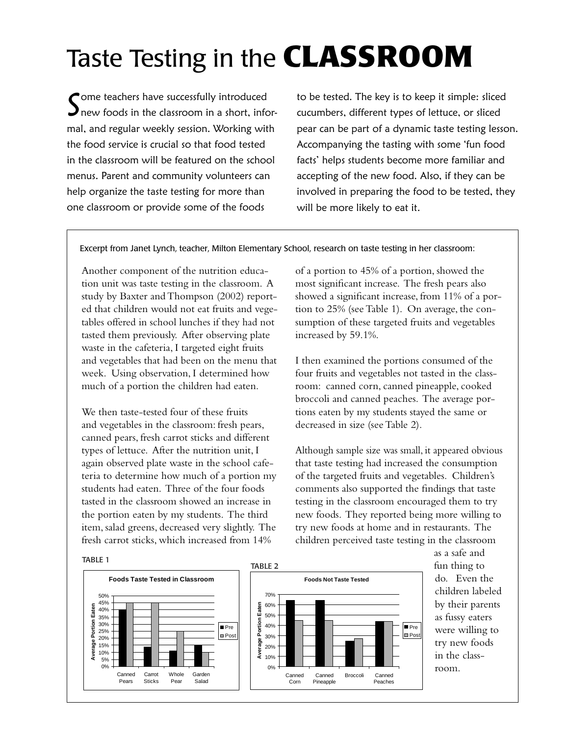### Taste Testing in the **CLASSROOM**

Some teachers have successfully introduced<br>Snew foods in the classroom in a short, inforome teachers have successfully introduced mal, and regular weekly session. Working with the food service is crucial so that food tested in the classroom will be featured on the school menus. Parent and community volunteers can help organize the taste testing for more than one classroom or provide some of the foods

to be tested. The key is to keep it simple: sliced cucumbers, different types of lettuce, or sliced pear can be part of a dynamic taste testing lesson. Accompanying the tasting with some 'fun food facts' helps students become more familiar and accepting of the new food. Also, if they can be involved in preparing the food to be tested, they will be more likely to eat it.

Excerpt from Janet Lynch, teacher, Milton Elementary School, research on taste testing in her classroom:

Another component of the nutrition education unit was taste testing in the classroom. A study by Baxter and Thompson (2002) reported that children would not eat fruits and vegetables offered in school lunches if they had not tasted them previously. After observing plate waste in the cafeteria, I targeted eight fruits and vegetables that had been on the menu that week. Using observation, I determined how much of a portion the children had eaten.

We then taste-tested four of these fruits and vegetables in the classroom: fresh pears, canned pears, fresh carrot sticks and different types of lettuce. After the nutrition unit, I again observed plate waste in the school cafeteria to determine how much of a portion my students had eaten. Three of the four foods tasted in the classroom showed an increase in the portion eaten by my students. The third item, salad greens, decreased very slightly. The fresh carrot sticks, which increased from 14%

of a portion to 45% of a portion, showed the most significant increase. The fresh pears also showed a significant increase, from 11% of a portion to 25% (see Table 1). On average, the consumption of these targeted fruits and vegetables increased by 59.1%.

I then examined the portions consumed of the four fruits and vegetables not tasted in the classroom: canned corn, canned pineapple, cooked broccoli and canned peaches. The average portions eaten by my students stayed the same or decreased in size (see Table 2).

Although sample size was small, it appeared obvious that taste testing had increased the consumption of the targeted fruits and vegetables. Children's comments also supported the findings that taste testing in the classroom encouraged them to try new foods. They reported being more willing to try new foods at home and in restaurants. The children perceived taste testing in the classroom



as a safe and fun thing to do. Even the children labeled by their parents as fussy eaters were willing to try new foods in the classroom.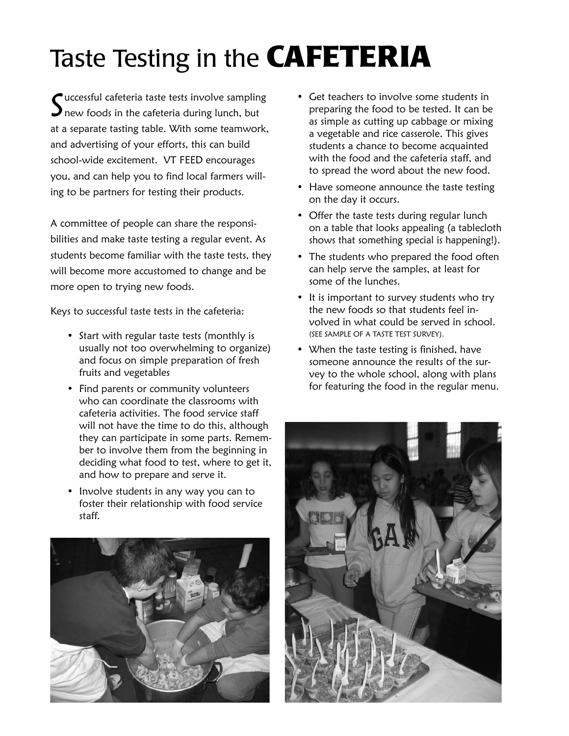## Taste Testing in the **CAFETERIA**

 $\int_{\text{new}~\text{foods}~\text{in}~\text{the~c afteria}~\text{during}~\text{lunch,}~\text{but}}$  $\boldsymbol{\mathcal{J}}$  new foods in the cafeteria during lunch, but at a separate tasting table. With some teamwork, and advertising of your efforts, this can build school-wide excitement. VT FEED encourages you, and can help you to find local farmers willing to be partners for testing their products.

A committee of people can share the responsibilities and make taste testing a regular event. As students become familiar with the taste tests, they will become more accustomed to change and be more open to trying new foods.

Keys to successful taste tests in the cafeteria:

- Start with regular taste tests (monthly is usually not too overwhelming to organize) and focus on simple preparation of fresh fruits and vegetables
- Find parents or community volunteers who can coordinate the classrooms with cafeteria activities. The food service staff will not have the time to do this, although they can participate in some parts. Remember to involve them from the beginning in deciding what food to test, where to get it, and how to prepare and serve it.
- Involve students in any way you can to foster their relationship with food service staff.



- Get teachers to involve some students in preparing the food to be tested. It can be as simple as cutting up cabbage or mixing a vegetable and rice casserole. This gives students a chance to become acquainted with the food and the cafeteria staff, and to spread the word about the new food.
- Have someone announce the taste testing on the day it occurs.
- Offer the taste tests during regular lunch on a table that looks appealing (a tablecloth shows that something special is happening!).
- The students who prepared the food often can help serve the samples, at least for some of the lunches.
- It is important to survey students who try the new foods so that students feel involved in what could be served in school. (SEE SAMPLE OF A TASTE TEST SURVEY).
- When the taste testing is finished, have someone announce the results of the survey to the whole school, along with plans for featuring the food in the regular menu.

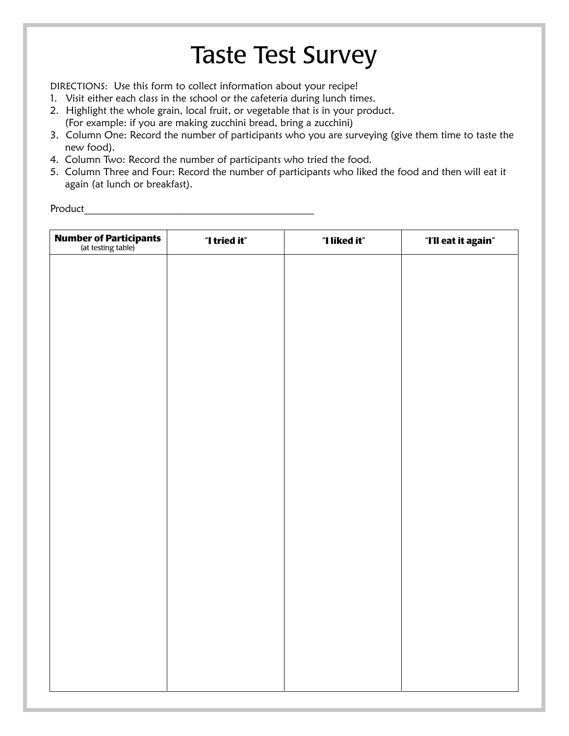#### Taste Test Survey

DIRECTIONS: Use this form to collect information about your recipe!

- 1. Visit either each class in the school or the cafeteria during lunch times.
- 2. Highlight the whole grain, local fruit, or vegetable that is in your product. (For example: if you are making zucchini bread, bring a zucchini)
- 3. Column One: Record the number of participants who you are surveying (give them time to taste the new food).
- 4. Column Two: Record the number of participants who tried the food.
- 5. Column Three and Four: Record the number of participants who liked the food and then will eat it again (at lunch or breakfast).

Product\_\_\_\_\_\_\_\_\_\_\_\_\_\_\_\_\_\_\_\_\_\_\_\_\_\_\_\_\_\_\_\_\_\_\_\_\_\_\_\_\_\_\_\_\_

| <b>Number of Participants</b><br>(at testing table) | "I tried it" | "I liked it" | "I'll eat it again" |
|-----------------------------------------------------|--------------|--------------|---------------------|
|                                                     |              |              |                     |
|                                                     |              |              |                     |
|                                                     |              |              |                     |
|                                                     |              |              |                     |
|                                                     |              |              |                     |
|                                                     |              |              |                     |
|                                                     |              |              |                     |
|                                                     |              |              |                     |
|                                                     |              |              |                     |
|                                                     |              |              |                     |
|                                                     |              |              |                     |
|                                                     |              |              |                     |
|                                                     |              |              |                     |
|                                                     |              |              |                     |
|                                                     |              |              |                     |
|                                                     |              |              |                     |
|                                                     |              |              |                     |
|                                                     |              |              |                     |
|                                                     |              |              |                     |